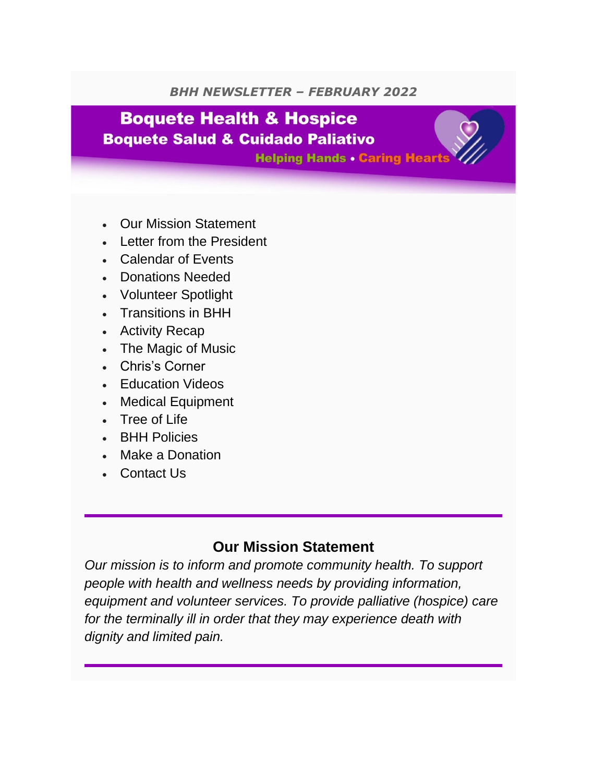#### *BHH NEWSLETTER – FEBRUARY 2022*

## **Boquete Health & Hospice Boquete Salud & Cuidado Paliativo**

**Helping Hands . Caring Hearts** 

- Our Mission Statement
- Letter from the President
- Calendar of Events
- Donations Needed
- Volunteer Spotlight
- Transitions in BHH
- Activity Recap
- The Magic of Music
- Chris's Corner
- Education Videos
- Medical Equipment
- Tree of Life
- BHH Policies
- Make a Donation
- Contact Us

#### **Our Mission Statement**

*Our mission is to inform and promote community health. To support people with health and wellness needs by providing information, equipment and volunteer services. To provide palliative (hospice) care for the terminally ill in order that they may experience death with dignity and limited pain.*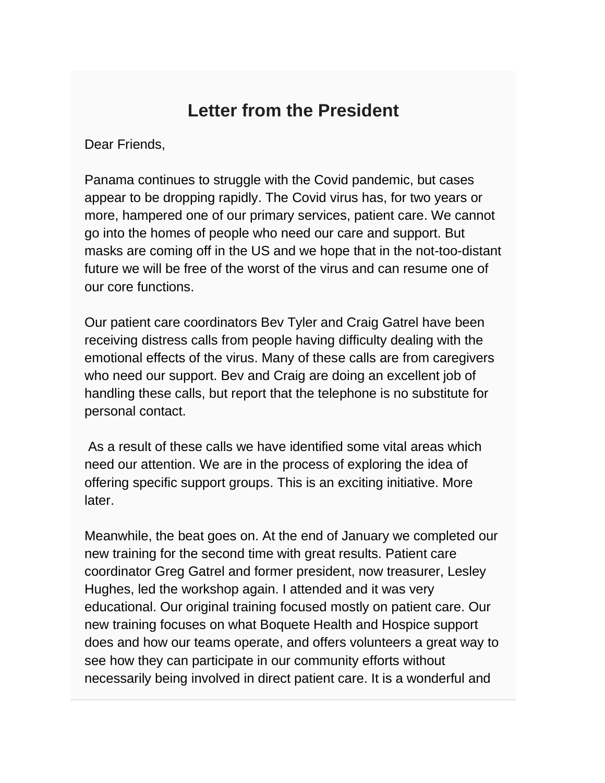## **Letter from the President**

Dear Friends,

Panama continues to struggle with the Covid pandemic, but cases appear to be dropping rapidly. The Covid virus has, for two years or more, hampered one of our primary services, patient care. We cannot go into the homes of people who need our care and support. But masks are coming off in the US and we hope that in the not-too-distant future we will be free of the worst of the virus and can resume one of our core functions.

Our patient care coordinators Bev Tyler and Craig Gatrel have been receiving distress calls from people having difficulty dealing with the emotional effects of the virus. Many of these calls are from caregivers who need our support. Bev and Craig are doing an excellent job of handling these calls, but report that the telephone is no substitute for personal contact.

As a result of these calls we have identified some vital areas which need our attention. We are in the process of exploring the idea of offering specific support groups. This is an exciting initiative. More later.

Meanwhile, the beat goes on. At the end of January we completed our new training for the second time with great results. Patient care coordinator Greg Gatrel and former president, now treasurer, Lesley Hughes, led the workshop again. I attended and it was very educational. Our original training focused mostly on patient care. Our new training focuses on what Boquete Health and Hospice support does and how our teams operate, and offers volunteers a great way to see how they can participate in our community efforts without necessarily being involved in direct patient care. It is a wonderful and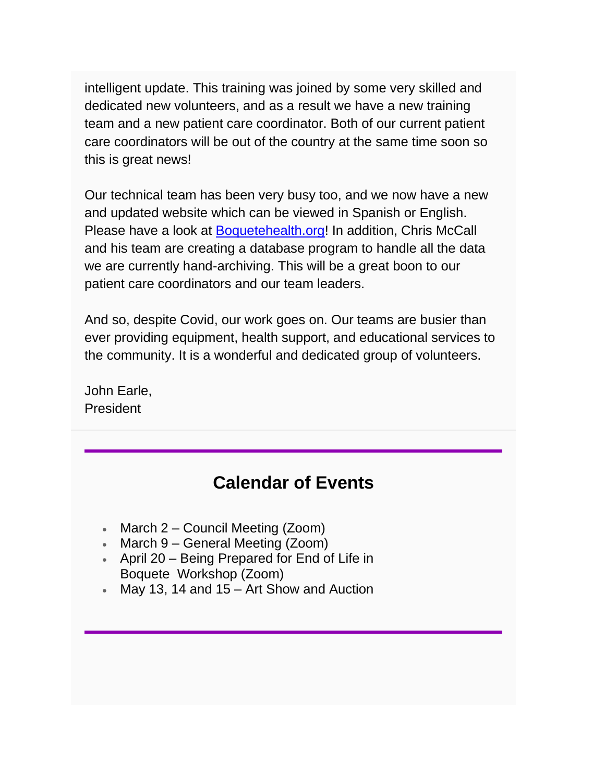intelligent update. This training was joined by some very skilled and dedicated new volunteers, and as a result we have a new training team and a new patient care coordinator. Both of our current patient care coordinators will be out of the country at the same time soon so this is great news!

Our technical team has been very busy too, and we now have a new and updated website which can be viewed in Spanish or English. Please have a look at [Boquetehealth.org!](https://www.boquetehealth.org/) In addition, Chris McCall and his team are creating a database program to handle all the data we are currently hand-archiving. This will be a great boon to our patient care coordinators and our team leaders.

And so, despite Covid, our work goes on. Our teams are busier than ever providing equipment, health support, and educational services to the community. It is a wonderful and dedicated group of volunteers.

John Earle, **President** 

## **Calendar of Events**

- March 2 Council Meeting (Zoom)
- March 9 General Meeting (Zoom)
- April 20 Being Prepared for End of Life in Boquete Workshop (Zoom)
- May 13, 14 and 15 Art Show and Auction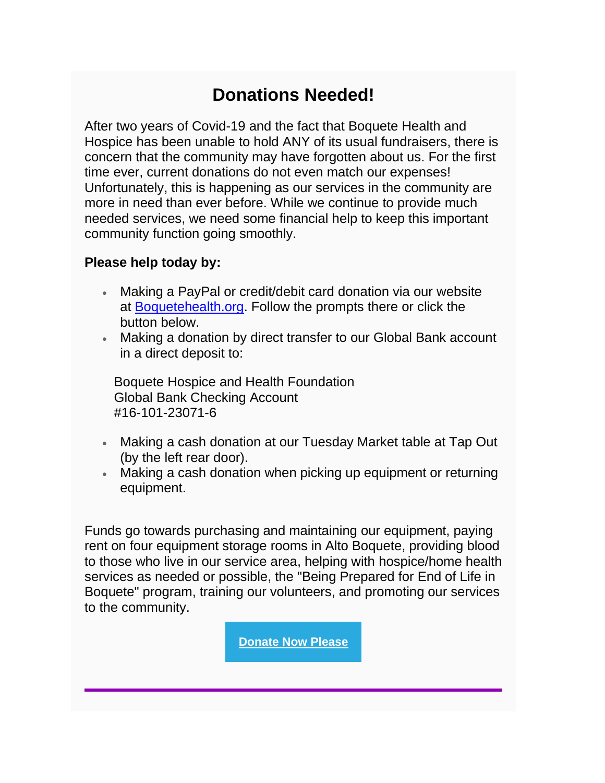## **Donations Needed!**

After two years of Covid-19 and the fact that Boquete Health and Hospice has been unable to hold ANY of its usual fundraisers, there is concern that the community may have forgotten about us. For the first time ever, current donations do not even match our expenses! Unfortunately, this is happening as our services in the community are more in need than ever before. While we continue to provide much needed services, we need some financial help to keep this important community function going smoothly.

#### **Please help today by:**

- Making a PayPal or credit/debit card donation via our website at [Boquetehealth.org.](https://www.boquetehealth.org/donate) Follow the prompts there or click the button below.
- Making a donation by direct transfer to our Global Bank account in a direct deposit to:

Boquete Hospice and Health Foundation Global Bank Checking Account #16-101-23071-6

- Making a cash donation at our Tuesday Market table at Tap Out (by the left rear door).
- Making a cash donation when picking up equipment or returning equipment.

Funds go towards purchasing and maintaining our equipment, paying rent on four equipment storage rooms in Alto Boquete, providing blood to those who live in our service area, helping with hospice/home health services as needed or possible, the "Being Prepared for End of Life in Boquete" program, training our volunteers, and promoting our services to the community.

**[Donate Now Please](https://www.boquetehealth.org/donate)**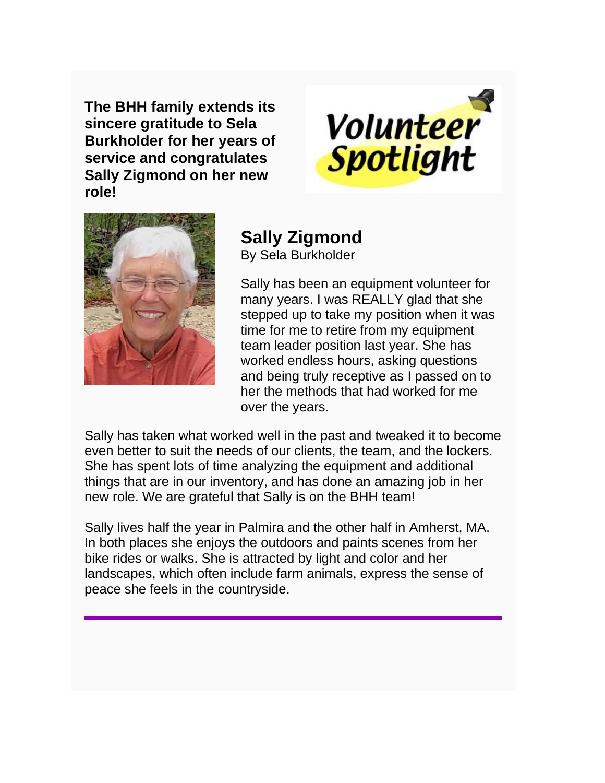**The BHH family extends its sincere gratitude to Sela Burkholder for her years of service and congratulates Sally Zigmond on her new role!**





# **Sally Zigmond**

By Sela Burkholder

Sally has been an equipment volunteer for many years. I was REALLY glad that she stepped up to take my position when it was time for me to retire from my equipment team leader position last year. She has worked endless hours, asking questions and being truly receptive as I passed on to her the methods that had worked for me over the years.

Sally has taken what worked well in the past and tweaked it to become even better to suit the needs of our clients, the team, and the lockers. She has spent lots of time analyzing the equipment and additional things that are in our inventory, and has done an amazing job in her new role. We are grateful that Sally is on the BHH team!

Sally lives half the year in Palmira and the other half in Amherst, MA. In both places she enjoys the outdoors and paints scenes from her bike rides or walks. She is attracted by light and color and her landscapes, which often include farm animals, express the sense of peace she feels in the countryside.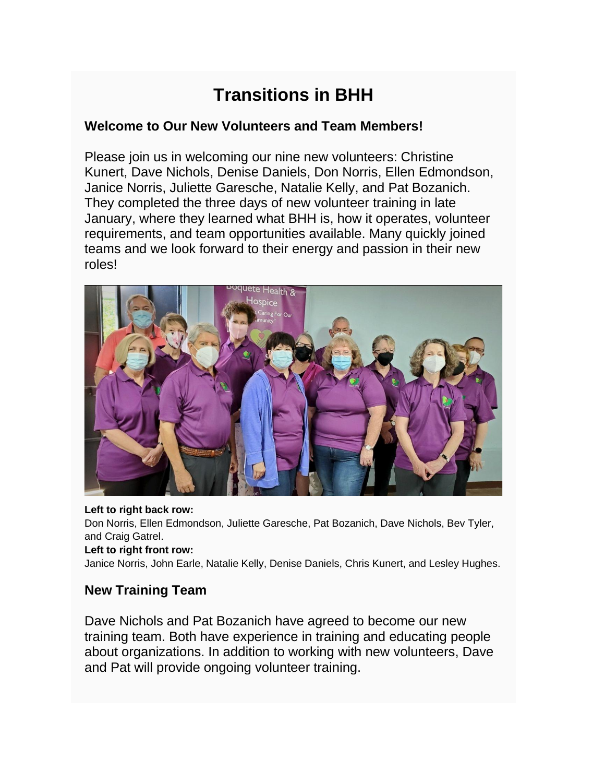# **Transitions in BHH**

#### **Welcome to Our New Volunteers and Team Members!**

Please join us in welcoming our nine new volunteers: Christine Kunert, Dave Nichols, Denise Daniels, Don Norris, Ellen Edmondson, Janice Norris, Juliette Garesche, Natalie Kelly, and Pat Bozanich. They completed the three days of new volunteer training in late January, where they learned what BHH is, how it operates, volunteer requirements, and team opportunities available. Many quickly joined teams and we look forward to their energy and passion in their new roles!



#### **Left to right back row:**

Don Norris, Ellen Edmondson, Juliette Garesche, Pat Bozanich, Dave Nichols, Bev Tyler, and Craig Gatrel.

#### **Left to right front row:**

Janice Norris, John Earle, Natalie Kelly, Denise Daniels, Chris Kunert, and Lesley Hughes.

#### **New Training Team**

Dave Nichols and Pat Bozanich have agreed to become our new training team. Both have experience in training and educating people about organizations. In addition to working with new volunteers, Dave and Pat will provide ongoing volunteer training.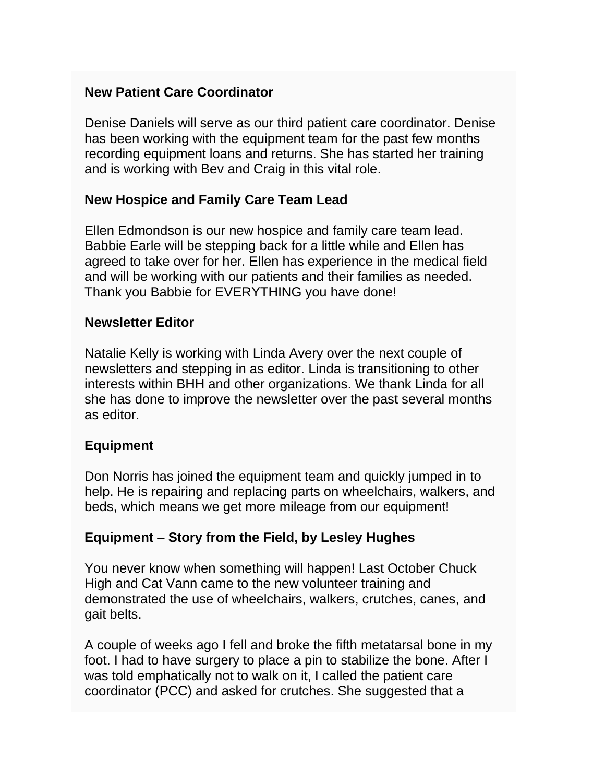#### **New Patient Care Coordinator**

Denise Daniels will serve as our third patient care coordinator. Denise has been working with the equipment team for the past few months recording equipment loans and returns. She has started her training and is working with Bev and Craig in this vital role.

#### **New Hospice and Family Care Team Lead**

Ellen Edmondson is our new hospice and family care team lead. Babbie Earle will be stepping back for a little while and Ellen has agreed to take over for her. Ellen has experience in the medical field and will be working with our patients and their families as needed. Thank you Babbie for EVERYTHING you have done!

#### **Newsletter Editor**

Natalie Kelly is working with Linda Avery over the next couple of newsletters and stepping in as editor. Linda is transitioning to other interests within BHH and other organizations. We thank Linda for all she has done to improve the newsletter over the past several months as editor.

#### **Equipment**

Don Norris has joined the equipment team and quickly jumped in to help. He is repairing and replacing parts on wheelchairs, walkers, and beds, which means we get more mileage from our equipment!

#### **Equipment – Story from the Field, by Lesley Hughes**

You never know when something will happen! Last October Chuck High and Cat Vann came to the new volunteer training and demonstrated the use of wheelchairs, walkers, crutches, canes, and gait belts.

A couple of weeks ago I fell and broke the fifth metatarsal bone in my foot. I had to have surgery to place a pin to stabilize the bone. After I was told emphatically not to walk on it, I called the patient care coordinator (PCC) and asked for crutches. She suggested that a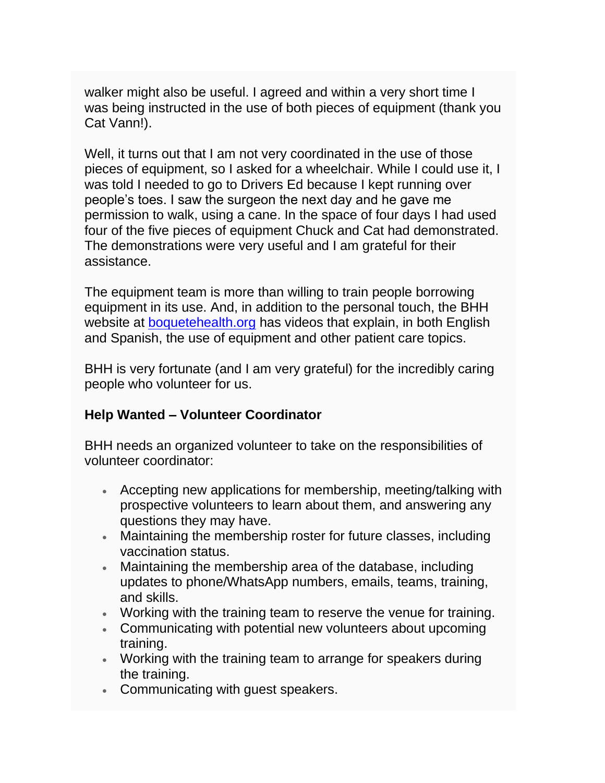walker might also be useful. I agreed and within a very short time I was being instructed in the use of both pieces of equipment (thank you Cat Vann!).

Well, it turns out that I am not very coordinated in the use of those pieces of equipment, so I asked for a wheelchair. While I could use it, I was told I needed to go to Drivers Ed because I kept running over people's toes. I saw the surgeon the next day and he gave me permission to walk, using a cane. In the space of four days I had used four of the five pieces of equipment Chuck and Cat had demonstrated. The demonstrations were very useful and I am grateful for their assistance.

The equipment team is more than willing to train people borrowing equipment in its use. And, in addition to the personal touch, the BHH website at [boquetehealth.org](https://www.boquetehealth.org/videos) has videos that explain, in both English and Spanish, the use of equipment and other patient care topics.

BHH is very fortunate (and I am very grateful) for the incredibly caring people who volunteer for us.

#### **Help Wanted – Volunteer Coordinator**

BHH needs an organized volunteer to take on the responsibilities of volunteer coordinator:

- Accepting new applications for membership, meeting/talking with prospective volunteers to learn about them, and answering any questions they may have.
- Maintaining the membership roster for future classes, including vaccination status.
- Maintaining the membership area of the database, including updates to phone/WhatsApp numbers, emails, teams, training, and skills.
- Working with the training team to reserve the venue for training.
- Communicating with potential new volunteers about upcoming training.
- Working with the training team to arrange for speakers during the training.
- Communicating with guest speakers.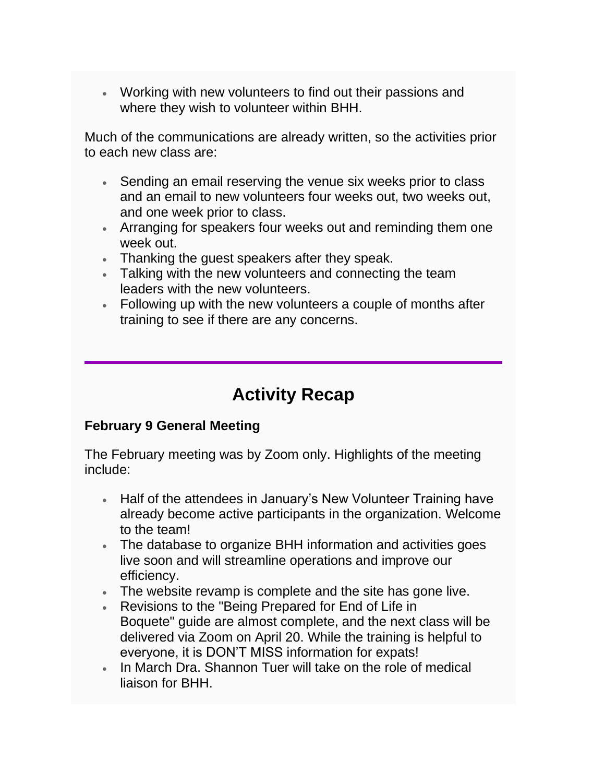• Working with new volunteers to find out their passions and where they wish to volunteer within BHH.

Much of the communications are already written, so the activities prior to each new class are:

- Sending an email reserving the venue six weeks prior to class and an email to new volunteers four weeks out, two weeks out, and one week prior to class.
- Arranging for speakers four weeks out and reminding them one week out.
- Thanking the guest speakers after they speak.
- Talking with the new volunteers and connecting the team leaders with the new volunteers.
- Following up with the new volunteers a couple of months after training to see if there are any concerns.

# **Activity Recap**

#### **February 9 General Meeting**

The February meeting was by Zoom only. Highlights of the meeting include:

- Half of the attendees in January's New Volunteer Training have already become active participants in the organization. Welcome to the team!
- The database to organize BHH information and activities goes live soon and will streamline operations and improve our efficiency.
- The website revamp is complete and the site has gone live.
- Revisions to the "Being Prepared for End of Life in Boquete" guide are almost complete, and the next class will be delivered via Zoom on April 20. While the training is helpful to everyone, it is DON'T MISS information for expats!
- In March Dra. Shannon Tuer will take on the role of medical liaison for BHH.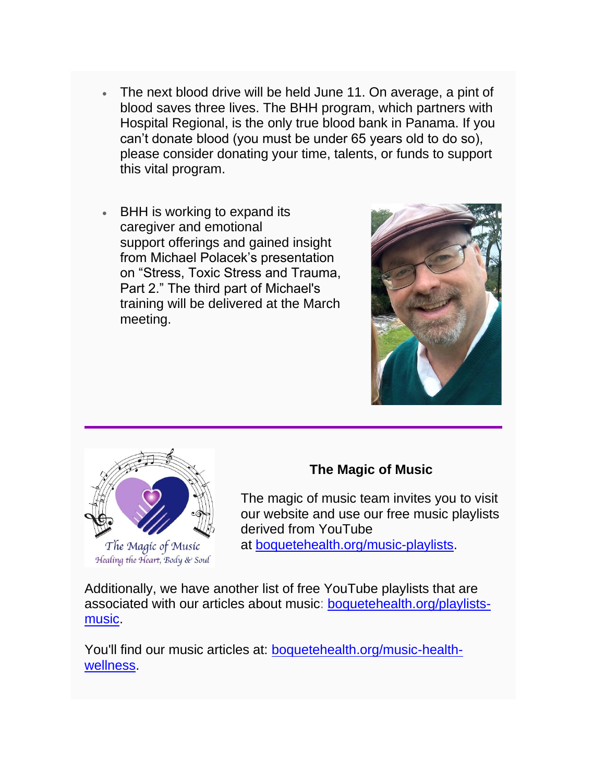- The next blood drive will be held June 11. On average, a pint of blood saves three lives. The BHH program, which partners with Hospital Regional, is the only true blood bank in Panama. If you can't donate blood (you must be under 65 years old to do so), please consider donating your time, talents, or funds to support this vital program.
- BHH is working to expand its caregiver and emotional support offerings and gained insight from Michael Polacek's presentation on "Stress, Toxic Stress and Trauma, Part 2." The third part of Michael's training will be delivered at the March meeting.





#### **The Magic of Music**

The magic of music team invites you to visit our website and use our free music playlists derived from YouTube at [boquetehealth.org/music-playlists.](https://www.boquetehealth.org/music-playlists)

Additionally, we have another list of free YouTube playlists that are associated with our articles about music: [boquetehealth.org/playlists](https://www.boquetehealth.org/playlists-music)[music.](https://www.boquetehealth.org/playlists-music)

You'll find our music articles at: [boquetehealth.org/music-health](https://www.boquetehealth.org/music-health-wellness)[wellness.](https://www.boquetehealth.org/music-health-wellness)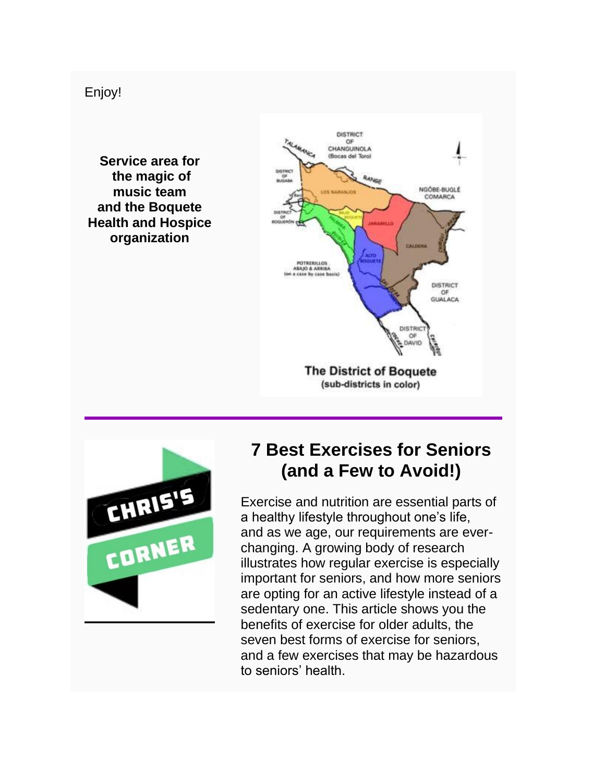Enjoy!

**Service area for the magic of music team and the Boquete Health and Hospice organization**





## **7 Best Exercises for Seniors (and a Few to Avoid!)**

Exercise and nutrition are essential parts of a healthy lifestyle throughout one's life, and as we age, our requirements are everchanging. A growing body of research illustrates how regular exercise is especially important for seniors, and how more seniors are opting for an active lifestyle instead of a sedentary one. This article shows you the benefits of exercise for older adults, the seven best forms of exercise for seniors, and a few exercises that may be hazardous to seniors' health.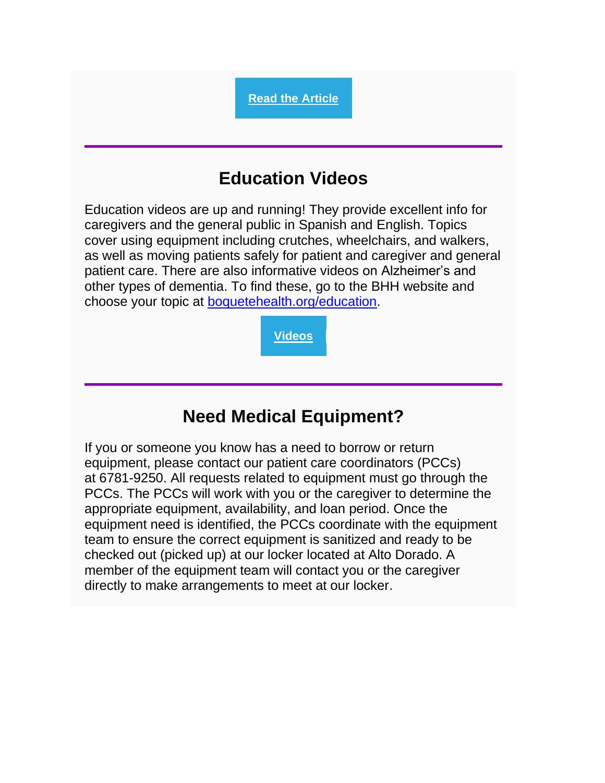# **Education Videos**

**[Read the Article](https://www.seniorlifestyle.com/resources/blog/7-best-exercises-for-seniors-and-a-few-to-avoid/)**

Education videos are up and running! They provide excellent info for caregivers and the general public in Spanish and English. Topics cover using equipment including crutches, wheelchairs, and walkers, as well as moving patients safely for patient and caregiver and general patient care. There are also informative videos on Alzheimer's and other types of dementia. To find these, go to the BHH website and choose your topic at [boquetehealth.org/education.](https://www.boquetehealth.org/dementi-and-alzheimers)

**[Videos](https://www.boquetehospice.org/videos)**

## **Need Medical Equipment?**

If you or someone you know has a need to borrow or return equipment, please contact our patient care coordinators (PCCs) at 6781-9250. All requests related to equipment must go through the PCCs. The PCCs will work with you or the caregiver to determine the appropriate equipment, availability, and loan period. Once the equipment need is identified, the PCCs coordinate with the equipment team to ensure the correct equipment is sanitized and ready to be checked out (picked up) at our locker located at Alto Dorado. A member of the equipment team will contact you or the caregiver directly to make arrangements to meet at our locker.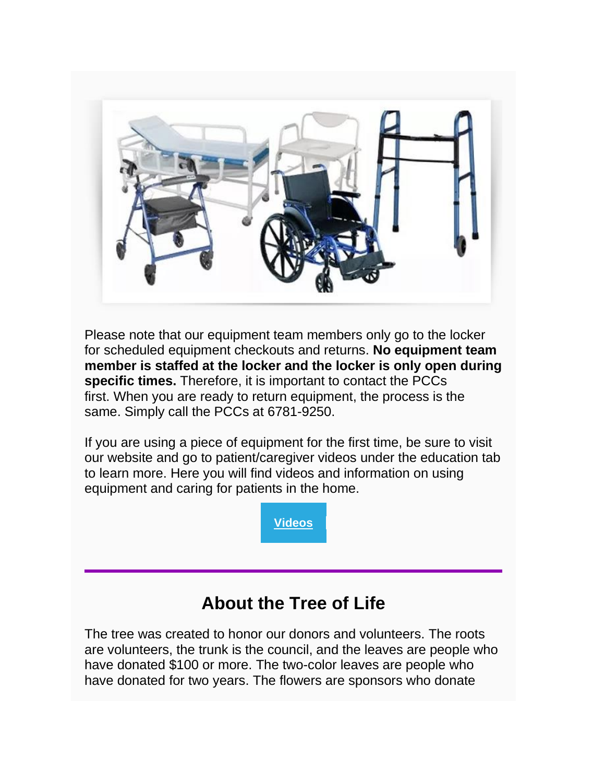

Please note that our equipment team members only go to the locker for scheduled equipment checkouts and returns. **No equipment team member is staffed at the locker and the locker is only open during specific times.** Therefore, it is important to contact the PCCs first. When you are ready to return equipment, the process is the same. Simply call the PCCs at 6781-9250.

If you are using a piece of equipment for the first time, be sure to visit our website and go to patient/caregiver videos under the education tab to learn more. Here you will find videos and information on using equipment and caring for patients in the home.

**[Videos](https://www.boquetehealth.org/videos)**

## **About the Tree of Life**

The tree was created to honor our donors and volunteers. The roots are volunteers, the trunk is the council, and the leaves are people who have donated \$100 or more. The two-color leaves are people who have donated for two years. The flowers are sponsors who donate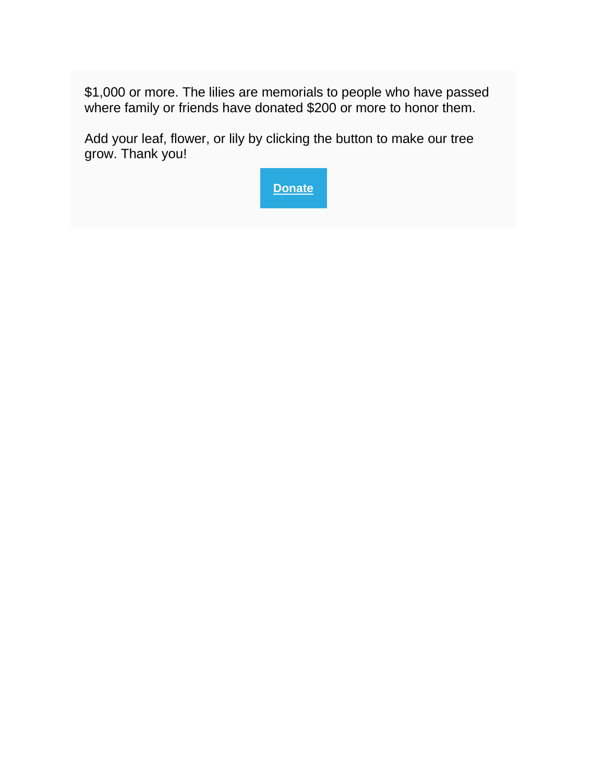\$1,000 or more. The lilies are memorials to people who have passed where family or friends have donated \$200 or more to honor them.

Add your leaf, flower, or lily by clicking the button to make our tree grow. Thank you!

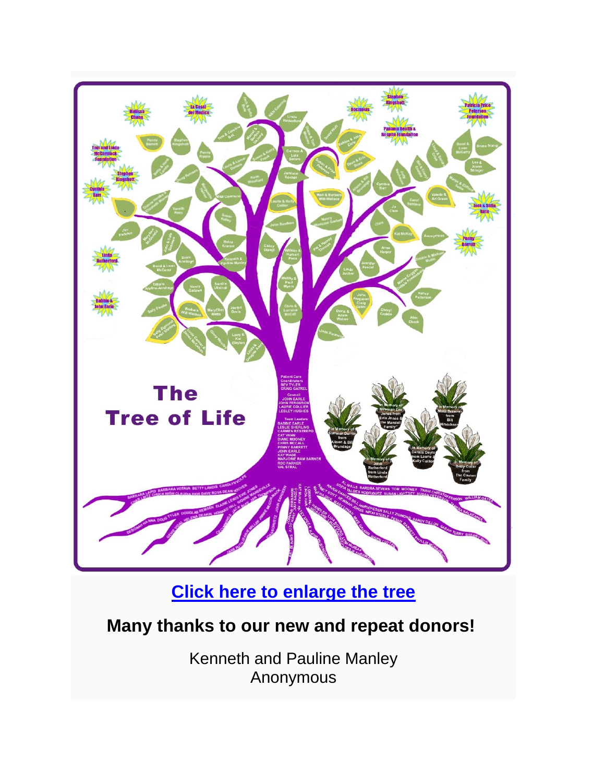

**[Click here to enlarge the tree](https://www.boquetehospice.org/lifetree)**

## **Many thanks to our new and repeat donors!**

Kenneth and Pauline Manley Anonymous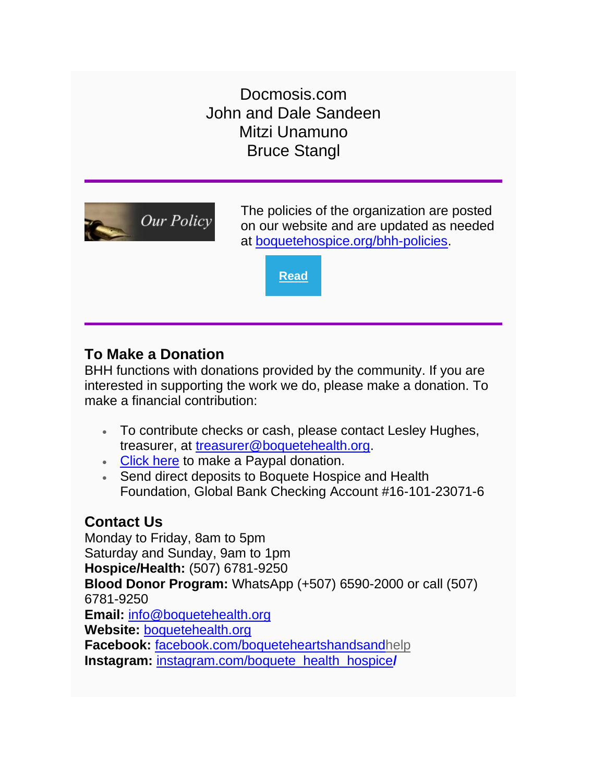Docmosis.com John and Dale Sandeen Mitzi Unamuno Bruce Stangl



The policies of the organization are posted on our website and are updated as needed at [boquetehospice.org/bhh-policies.](https://www.boquetehealth.org/bhh-policies)

**[Read](https://www.boquetehospice.org/bhh-policies)**

#### **To Make a Donation**

BHH functions with donations provided by the community. If you are interested in supporting the work we do, please make a donation. To make a financial contribution:

- To contribute checks or cash, please contact Lesley Hughes, treasurer, at [treasurer@boquetehealth.org.](mailto:treasurer@boquetehealth.org?subject=Donation)
- [Click here](https://www.paypal.com/donate?token=5NSJRh0mkDac-0XLgTUGNkJnchzViB06dKYOEgfqrB3_0Am3a-cNqsOHmxZ7RaSwEEp06-FT0k8Z4z6x) to make a Paypal donation.
- Send direct deposits to Boquete Hospice and Health Foundation, Global Bank Checking Account #16-101-23071-6

### **Contact Us**

Monday to Friday, 8am to 5pm Saturday and Sunday, 9am to 1pm **Hospice/Health:** (507) 6781-9250 **Blood Donor Program:** WhatsApp (+507) 6590-2000 or call (507) 6781-9250 **Email:** [info@boquetehealth.org](mailto:info@boquetehealth.org?subject=Info) **Website:** [boquetehealth.org](https://www.boquetehealth.org/) **Facebook:** [facebook.com/boqueteheartshandsandhelp](https://www.facebook.com/boqueteheartshandsandhelp) **Instagram:** [instagram.com/boquete\\_health\\_hospice](https://www.instagram.com/boquete_health_hospice/)**/**